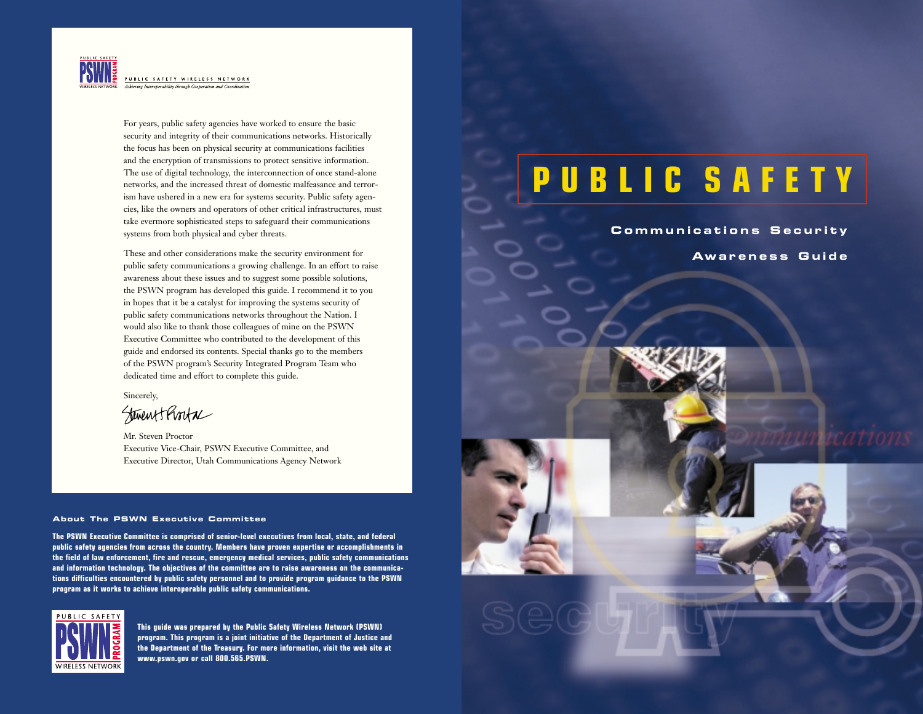

PUBLIC SAFETY WIRELESS NETWORK

For years, public safety agencies have worked to ensure the basic security and integrity of their communications networks. Historically the focus has been on physical security at communications facilities and the encryption of transmissions to protect sensitive information. The use of digital technology, the interconnection of once stand-alone networks, and the increased threat of domestic malfeasance and terrorism have ushered in a new era for systems security. Public safety agencies, like the owners and operators of other critical infrastructures, must take evermore sophisticated steps to safeguard their communications systems from both physical and cyber threats.

These and other considerations make the security environment for public safety communications a growing challenge. In an effort to raise awareness about these issues and to suggest some possible solutions, the PSWN program has developed this guide. I recommend it to you in hopes that it be a catalyst for improving the systems security of public safety communications networks throughout the Nation. I would also like to thank those colleagues of mine on the PSWN Executive Committee who contributed to the development of this guide and endorsed its contents. Special thanks go to the members of the PSWN program's Security Integrated Program Team who dedicated time and effort to complete this guide.

Sincerely, Stevent Rosta

Mr. Steven Proctor Executive Vice-Chair, PSWN Executive Committee, and Executive Director, Utah Communications Agency Network

#### **About The PSWN Executive Committee**

**The PSWN Executive Committee is comprised of senior-level executives from local, state, and federal public safety agencies from across the country. Members have proven expertise or accomplishments in the field of law enforcement, fire and rescue, emergency medical services, public safety communications and information technology. The objectives of the committee are to raise awareness on the communications difficulties encountered by public safety personnel and to provide program guidance to the PSWN program as it works to achieve interoperable public safety communications.**



**This guide was prepared by the Public Safety Wireless Network (PSWN) program. This program is a joint initiative of the Department of Justice and the Department of the Treasury. For more information, visit the web site at www.pswn.gov or call 800.565.PSWN.**

# **PUBLIC SAFETY**

#### **Communications Security**

**Awareness Gu ide**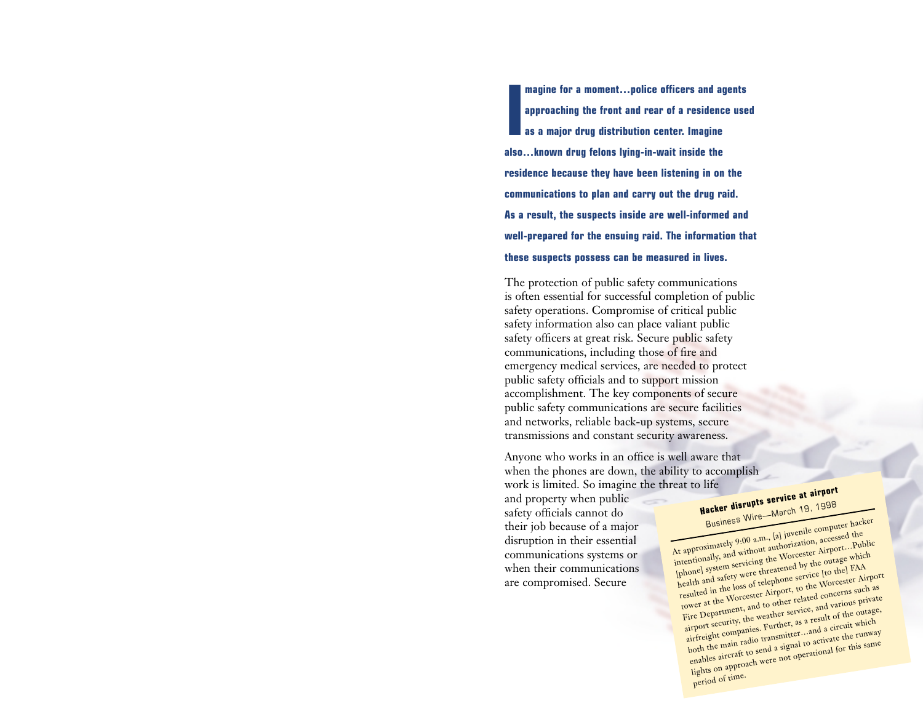**Imagine for a moment…police officers and agents approaching the front and rear of a residence used as a major drug distribution center. Imagine also…known drug felons lying-in-wait inside the residence because they have been listening in on the communications to plan and carry out the drug raid. As a result, the suspects inside are well-informed and well-prepared for the ensuing raid. The information that these suspects possess can be measured in lives.**

The protection of public safety communications is often essential for successful completion of public safety operations. Compromise of critical public safety information also can place valiant public safety officers at great risk. Secure public safety communications, including those of fire and emergency medical services, are needed to protect public safety officials and to support mission accomplishment. The key components of secure public safety communications are secure facilities and networks, reliable back-up systems, secure transmissions and constant security awareness.

Anyone who works in an office is well aware that when the phones are down, the ability to accomplish work is limited. So imagine the threat to life

and property when public safety officials cannot do their job because of a major disruption in their essential communications systems or when their communications are compromised. Secure

## **Hacker disrupts service at airport** Business Wire—March 19, <sup>1998</sup>

At approximately 9:00 a.m., [a] juvenile computer hacker intentionally, and without authorization, accessed the [phone] system servicing the Worcester Airport…Public health and safety were threatened by the outage which resulted in the loss of telephone service [to the] FAA tower at the Worcester Airport, to the Worcester Airport Fire Department, and to other related concerns such as airport security, the weather service, and various private airfreight companies. Further, as a result of the outage, both the main radio transmitter…and a circuit which enables aircraft to send a signal to activate the runway lights on approach were not operational for this same period of time.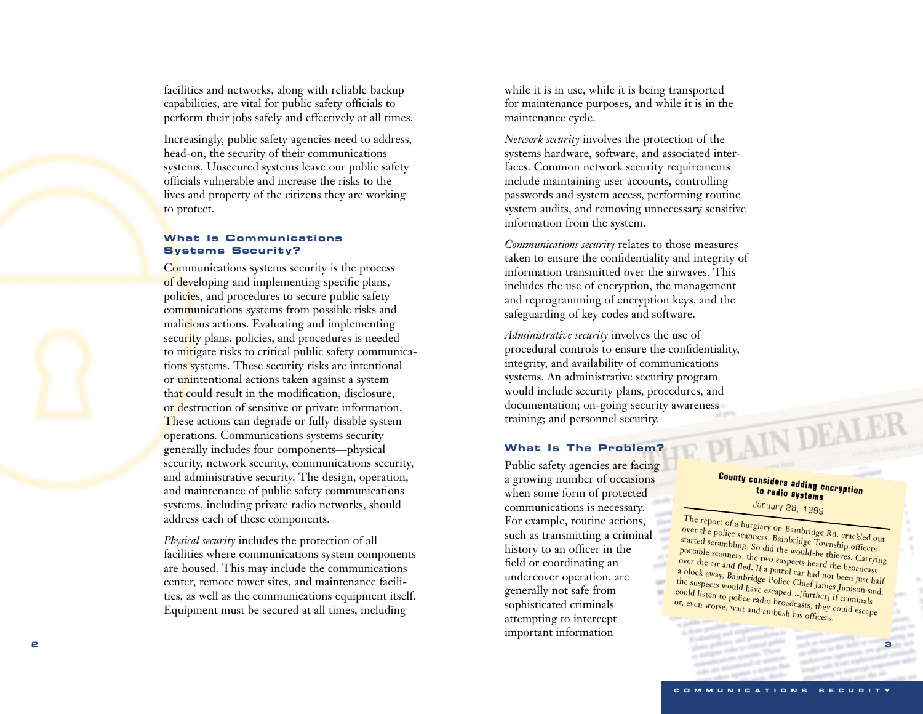facilities and networks, along with reliable backup capabilities, are vital for public safety officials to perform their jobs safely and effectively at all times.

Increasingly, public safety agencies need to address, head-on, the security of their communications systems. Unsecured systems leave our public safety officials vulnerable and increase the risks to the lives and property of the citizens they are working to protect.

#### **What Is Communications Systems Security?**

Communications systems security is the process of developing and implementing specific plans, policies, and procedures to secure public safety communications systems from possible risks and malicious actions. Evaluating and implementing security plans, policies, and procedures is needed to mitigate risks to critical public safety communications systems. These security risks are intentional or unintentional actions taken against a system that could result in the modification, disclosure, or destruction of sensitive or private information. These actions can degrade or fully disable system operations. Communications systems security generally includes four components—physical security, network security, communications security, and administrative security. The design, operation, and maintenance of public safety communications systems, including private radio networks, should address each of these components.

*Physical security* includes the protection of all facilities where communications system components are housed. This may include the communications center, remote tower sites, and maintenance facilities, as well as the communications equipment itself. Equipment must be secured at all times, including

while it is in use, while it is being transported for maintenance purposes, and while it is in the maintenance cycle.

*Network security* involves the protection of the systems hardware, software, and associated interfaces. Common network security requirements include maintaining user accounts, controlling passwords and system access, performing routine system audits, and removing unnecessary sensitive information from the system.

*Communications security* relates to those measures taken to ensure the confidentiality and integrity of information transmitted over the airwaves. This includes the use of encryption, the management and reprogramming of encryption keys, and the safeguarding of key codes and software.

*Administrative security* involves the use of procedural controls to ensure the confidentiality, integrity, and availability of communications systems. An administrative security program would include security plans, procedures, and documentation; on-going security awareness<br>training; and personnel security.<br>What Is The Problem? training; and personnel security.

#### **What Is The Problem?**

Public safety agencies are facing a growing number of occasions when some form of protected communications is necessary. For example, routine actions, such as transmitting a criminal history to an officer in the field or coordinating an undercover operation, are generally not safe from sophisticated criminals attempting to intercept important information

### **County considers adding encryption to radio systems**

January 28, 1999

The report of a burglary on Bainbridge Rd. crackled out over the police scanners. Bainbridge Township officers started scrambling. So did the would-be thieves. Carrying portable scanners, the two suspects heard the broadcast over the air and fled. If a patrol car had not been just half a block away, Bainbridge Police Chief Janot been just hali<br>the suspects would have escaped… [further] imison said,<br>could listen to a literary escaped… [further] is an the suspects would have escaped...[further] if criminals could listen to police radio broadcasts, they could escape or, even worse, wait and ambush his officers.

**3**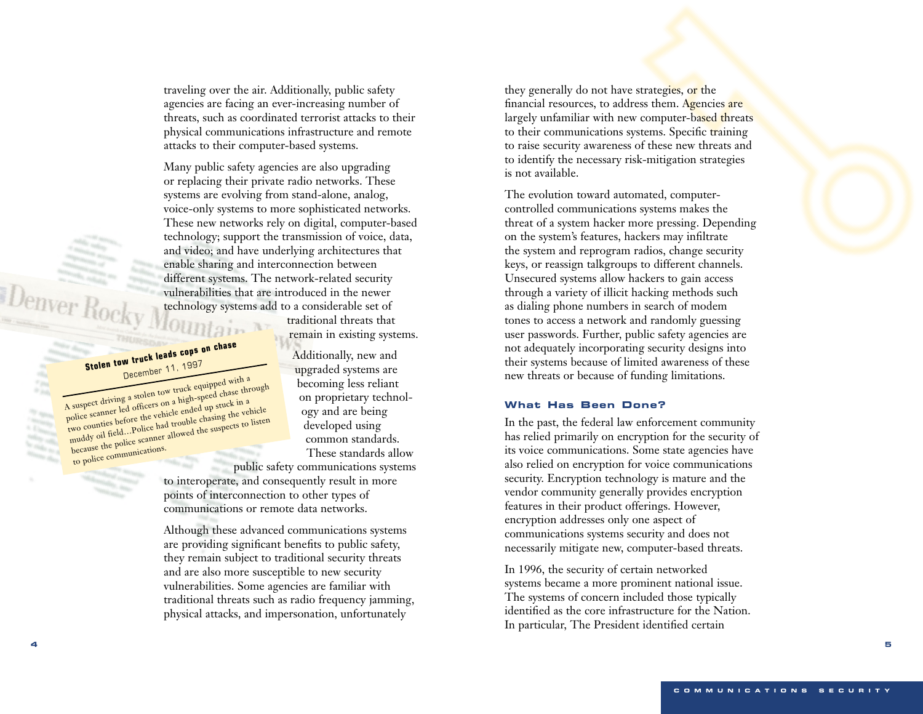traveling over the air. Additionally, public safety agencies are facing an ever-increasing number of threats, such as coordinated terrorist attacks to their physical communications infrastructure and remote attacks to their computer-based systems.

Many public safety agencies are also upgrading or replacing their private radio networks. These systems are evolving from stand-alone, analog, voice-only systems to more sophisticated networks. These new networks rely on digital, computer-based technology; support the transmission of voice, data, and video; and have underlying architectures that enable sharing and interconnection between different systems. The network-related security vulnerabilities that are introduced in the newer technology systems add to a considerable set of

### **Stolen tow truck leads cops on chase** December 11, <sup>1997</sup>

A suspect driving a stolen tow truck equipped with a police scanner led officers on a high-speed chase through two counties before the vehicle ended up stuck in a muddy oil field...Police had trouble chasing the vehicle because the police scanner allowed the suspects to listen to police communications.

traditional threats that remain in existing systems.

Additionally, new and upgraded systems are becoming less reliant on proprietary technology and are being developed using common standards. These standards allow

public safety communications systems to interoperate, and consequently result in more points of interconnection to other types of communications or remote data networks.

Although these advanced communications systems are providing significant benefits to public safety, they remain subject to traditional security threats and are also more susceptible to new security vulnerabilities. Some agencies are familiar with traditional threats such as radio frequency jamming, physical attacks, and impersonation, unfortunately

they generally do not have strategies, or the financial resources, to address them. Agencies are largely unfamiliar with new computer-based threats to their communications systems. Specific training to raise security awareness of these new threats and to identify the necessary risk-mitigation strategies is not available.

The evolution toward automated, computercontrolled communications systems makes the threat of a system hacker more pressing. Depending on the system's features, hackers may infiltrate the system and reprogram radios, change security keys, or reassign talkgroups to different channels. Unsecured systems allow hackers to gain access through a variety of illicit hacking methods such as dialing phone numbers in search of modem tones to access a network and randomly guessing user passwords. Further, public safety agencies are not adequately incorporating security designs into their systems because of limited awareness of these new threats or because of funding limitations.

#### **What Has Been Done?**

In the past, the federal law enforcement community has relied primarily on encryption for the security of its voice communications. Some state agencies have also relied on encryption for voice communications security. Encryption technology is mature and the vendor community generally provides encryption features in their product offerings. However, encryption addresses only one aspect of communications systems security and does not necessarily mitigate new, computer-based threats.

In 1996, the security of certain networked systems became a more prominent national issue. The systems of concern included those typically identified as the core infrastructure for the Nation. In particular, The President identified certain

Denver Rocl

**5**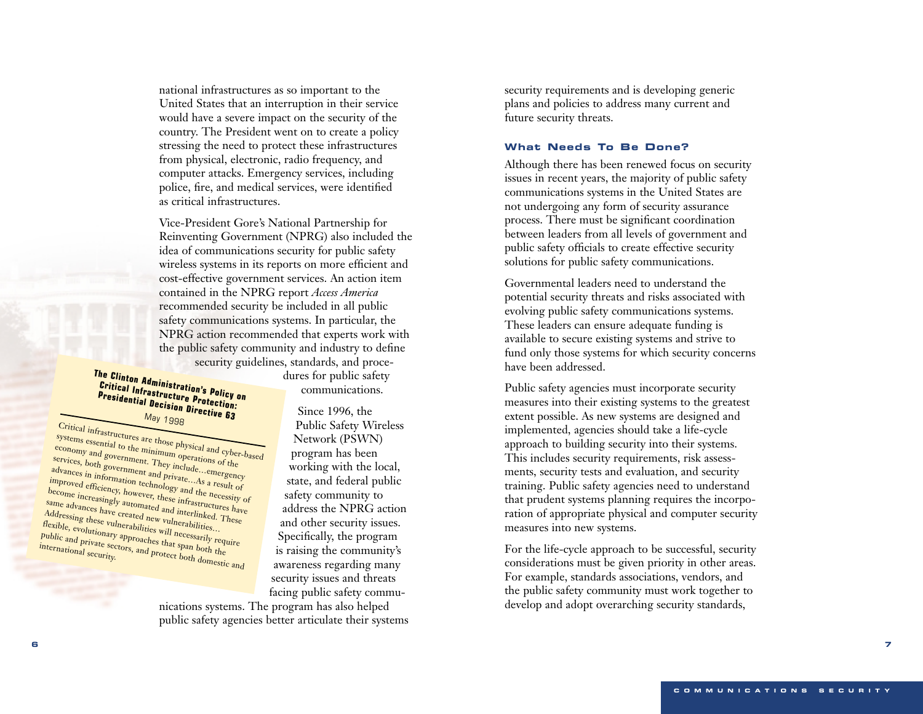national infrastructures as so important to the United States that an interruption in their service would have a severe impact on the security of the country. The President went on to create a policy stressing the need to protect these infrastructures from physical, electronic, radio frequency, and computer attacks. Emergency services, including police, fire, and medical services, were identified as critical infrastructures.

Vice-President Gore's National Partnership for Reinventing Government (NPRG) also included the idea of communications security for public safety wireless systems in its reports on more efficient and cost-effective government services. An action item contained in the NPRG report *Access America* recommended security be included in all public safety communications systems. In particular, the NPRG action recommended that experts work with the public safety community and industry to define security guidelines, standards, and proce-

**The Clinton Administration's Policy on Critical Infrastructure Protection: Presidential Decision Directive 63** May 1998

Critical infrastructures are those physical and cyber-based systems essential to the minimum operations of the economy and government. They include…emergency services, both government and private...As a result of advances in information technology and the necessity of improved efficiency, however, these infrastructures have become increasingly automated and interlinked. These same advances have created new vulnerabilities... Addressing these vulnerabilities will necessarily require flexible, evolutionary approaches that span both the public and privatonary approaches that span both the<br>international security.<br>international security.

dures for public safety communications.

Since 1996, the Public Safety Wireless Network (PSWN) program has been working with the local, state, and federal public safety community to address the NPRG action and other security issues. Specifically, the program is raising the community's awareness regarding many security issues and threats facing public safety commu-

nications systems. The program has also helped public safety agencies better articulate their systems security requirements and is developing generic plans and policies to address many current and future security threats.

#### **What Needs To Be Done?**

Although there has been renewed focus on security issues in recent years, the majority of public safety communications systems in the United States are not undergoing any form of security assurance process. There must be significant coordination between leaders from all levels of government and public safety officials to create effective security solutions for public safety communications.

Governmental leaders need to understand the potential security threats and risks associated with evolving public safety communications systems. These leaders can ensure adequate funding is available to secure existing systems and strive to fund only those systems for which security concerns have been addressed.

Public safety agencies must incorporate security measures into their existing systems to the greatest extent possible. As new systems are designed and implemented, agencies should take a life-cycle approach to building security into their systems. This includes security requirements, risk assessments, security tests and evaluation, and security training. Public safety agencies need to understand that prudent systems planning requires the incorporation of appropriate physical and computer security measures into new systems.

For the life-cycle approach to be successful, security considerations must be given priority in other areas. For example, standards associations, vendors, and the public safety community must work together to develop and adopt overarching security standards,

**6**